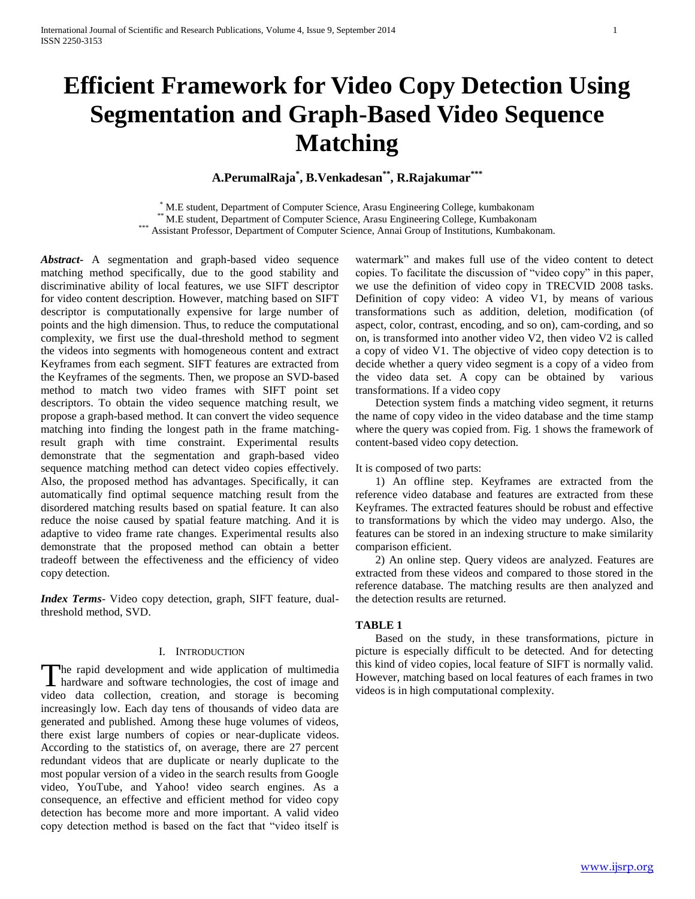# **Efficient Framework for Video Copy Detection Using Segmentation and Graph-Based Video Sequence Matching**

**A.PerumalRaja\* , B.Venkadesan\*\*, R.Rajakumar\*\*\***

M.E student, Department of Computer Science, Arasu Engineering College, kumbakonam

\*\* M.E student, Department of Computer Science, Arasu Engineering College, Kumbakonam

\*\*\* Assistant Professor, Department of Computer Science, Annai Group of Institutions, Kumbakonam.

*Abstract***-** A segmentation and graph-based video sequence matching method specifically, due to the good stability and discriminative ability of local features, we use SIFT descriptor for video content description. However, matching based on SIFT descriptor is computationally expensive for large number of points and the high dimension. Thus, to reduce the computational complexity, we first use the dual-threshold method to segment the videos into segments with homogeneous content and extract Keyframes from each segment. SIFT features are extracted from the Keyframes of the segments. Then, we propose an SVD-based method to match two video frames with SIFT point set descriptors. To obtain the video sequence matching result, we propose a graph-based method. It can convert the video sequence matching into finding the longest path in the frame matchingresult graph with time constraint. Experimental results demonstrate that the segmentation and graph-based video sequence matching method can detect video copies effectively. Also, the proposed method has advantages. Specifically, it can automatically find optimal sequence matching result from the disordered matching results based on spatial feature. It can also reduce the noise caused by spatial feature matching. And it is adaptive to video frame rate changes. Experimental results also demonstrate that the proposed method can obtain a better tradeoff between the effectiveness and the efficiency of video copy detection.

*Index Terms*- Video copy detection, graph, SIFT feature, dualthreshold method, SVD.

## I. INTRODUCTION

The rapid development and wide application of multimedia video data collection, creation, and storage is becoming increasingly low. Each day tens of thousands of video data are generated and published. Among these huge volumes of videos, there exist large numbers of copies or near-duplicate videos. According to the statistics of, on average, there are 27 percent redundant videos that are duplicate or nearly duplicate to the most popular version of a video in the search results from Google video, YouTube, and Yahoo! video search engines. As a consequence, an effective and efficient method for video copy detection has become more and more important. A valid video copy detection method is based on the fact that "video itself is watermark" and makes full use of the video content to detect copies. To facilitate the discussion of "video copy" in this paper, we use the definition of video copy in TRECVID 2008 tasks. Definition of copy video: A video V1, by means of various transformations such as addition, deletion, modification (of aspect, color, contrast, encoding, and so on), cam-cording, and so on, is transformed into another video V2, then video V2 is called a copy of video V1. The objective of video copy detection is to decide whether a query video segment is a copy of a video from the video data set. A copy can be obtained by various transformations. If a video copy

 Detection system finds a matching video segment, it returns the name of copy video in the video database and the time stamp where the query was copied from. Fig. 1 shows the framework of content-based video copy detection.

It is composed of two parts:

 1) An offline step. Keyframes are extracted from the reference video database and features are extracted from these Keyframes. The extracted features should be robust and effective to transformations by which the video may undergo. Also, the features can be stored in an indexing structure to make similarity comparison efficient.

 2) An online step. Query videos are analyzed. Features are extracted from these videos and compared to those stored in the reference database. The matching results are then analyzed and the detection results are returned.

## **TABLE 1**

The rapid development and wide application of multimedia<br>hardware and software technologies, the cost of image and<br>videos is in high computational complexity. Based on the study, in these transformations, picture in picture is especially difficult to be detected. And for detecting this kind of video copies, local feature of SIFT is normally valid.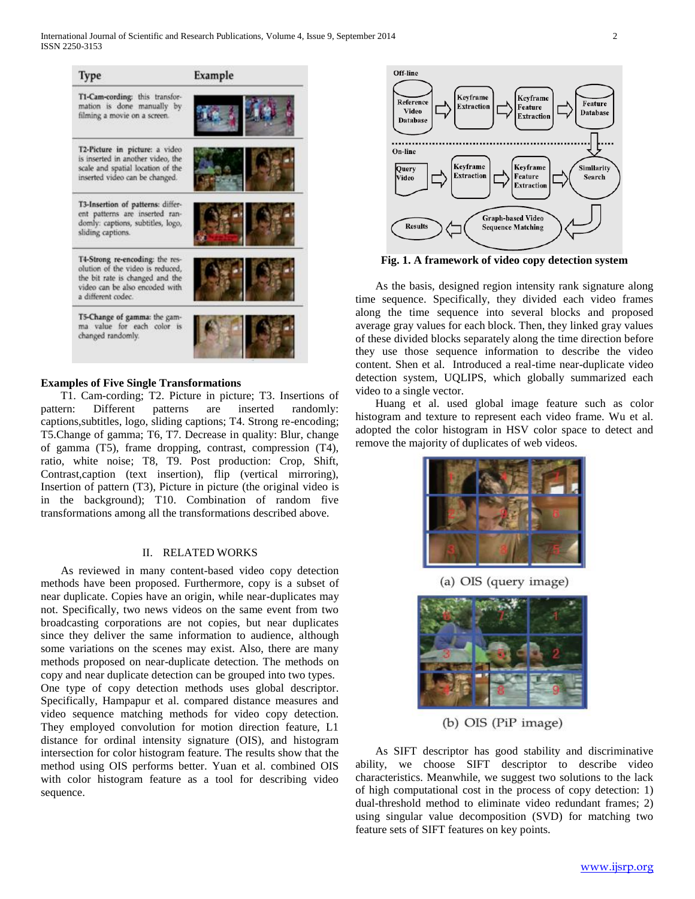

#### **Examples of Five Single Transformations**

 T1. Cam-cording; T2. Picture in picture; T3. Insertions of pattern: Different patterns are inserted randomly: captions,subtitles, logo, sliding captions; T4. Strong re-encoding; T5.Change of gamma; T6, T7. Decrease in quality: Blur, change of gamma (T5), frame dropping, contrast, compression (T4), ratio, white noise; T8, T9. Post production: Crop, Shift, Contrast,caption (text insertion), flip (vertical mirroring), Insertion of pattern (T3), Picture in picture (the original video is in the background); T10. Combination of random five transformations among all the transformations described above.

## II. RELATED WORKS

 As reviewed in many content-based video copy detection methods have been proposed. Furthermore, copy is a subset of near duplicate. Copies have an origin, while near-duplicates may not. Specifically, two news videos on the same event from two broadcasting corporations are not copies, but near duplicates since they deliver the same information to audience, although some variations on the scenes may exist. Also, there are many methods proposed on near-duplicate detection. The methods on copy and near duplicate detection can be grouped into two types. One type of copy detection methods uses global descriptor. Specifically, Hampapur et al. compared distance measures and video sequence matching methods for video copy detection. They employed convolution for motion direction feature, L1 distance for ordinal intensity signature (OIS), and histogram intersection for color histogram feature. The results show that the method using OIS performs better. Yuan et al. combined OIS with color histogram feature as a tool for describing video sequence.



**Fig. 1. A framework of video copy detection system**

 As the basis, designed region intensity rank signature along time sequence. Specifically, they divided each video frames along the time sequence into several blocks and proposed average gray values for each block. Then, they linked gray values of these divided blocks separately along the time direction before they use those sequence information to describe the video content. Shen et al. Introduced a real-time near-duplicate video detection system, UQLIPS, which globally summarized each video to a single vector.

 Huang et al. used global image feature such as color histogram and texture to represent each video frame. Wu et al. adopted the color histogram in HSV color space to detect and remove the majority of duplicates of web videos.



(a) OIS (query image)



(b) OIS (PiP image)

 As SIFT descriptor has good stability and discriminative ability, we choose SIFT descriptor to describe video characteristics. Meanwhile, we suggest two solutions to the lack of high computational cost in the process of copy detection: 1) dual-threshold method to eliminate video redundant frames; 2) using singular value decomposition (SVD) for matching two feature sets of SIFT features on key points.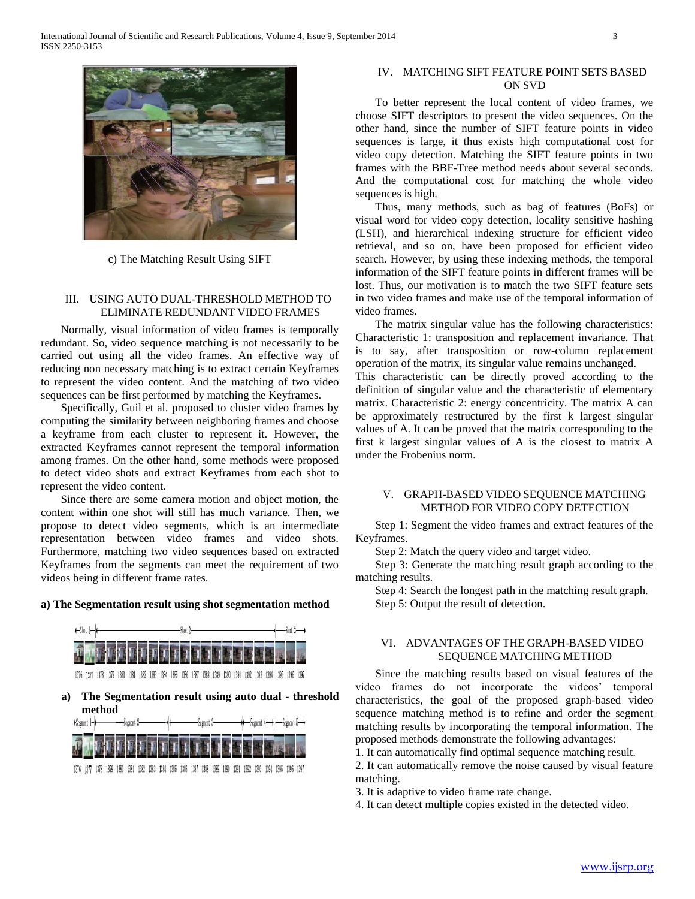

c) The Matching Result Using SIFT

## III. USING AUTO DUAL-THRESHOLD METHOD TO ELIMINATE REDUNDANT VIDEO FRAMES

 Normally, visual information of video frames is temporally redundant. So, video sequence matching is not necessarily to be carried out using all the video frames. An effective way of reducing non necessary matching is to extract certain Keyframes to represent the video content. And the matching of two video sequences can be first performed by matching the Keyframes.

 Specifically, Guil et al. proposed to cluster video frames by computing the similarity between neighboring frames and choose a keyframe from each cluster to represent it. However, the extracted Keyframes cannot represent the temporal information among frames. On the other hand, some methods were proposed to detect video shots and extract Keyframes from each shot to represent the video content.

 Since there are some camera motion and object motion, the content within one shot will still has much variance. Then, we propose to detect video segments, which is an intermediate representation between video frames and video shots. Furthermore, matching two video sequences based on extracted Keyframes from the segments can meet the requirement of two videos being in different frame rates.

#### **a) The Segmentation result using shot segmentation method**



- 1376 1377 1378 1379 1390 1391 1392 1383 1394 1395 1396 1397 1398 1399 1390 1391 1392 1393 1394 1395 1396 1397
- **a) The Segmentation result using auto dual - threshold method**



1376 1377 1378 1379 1390 1381 1392 1383 1384 1385 1386 1387 1388 1389 1399 1391 1392 1393 1394 1395 1396 1397

#### IV. MATCHING SIFT FEATURE POINT SETS BASED ON SVD

 To better represent the local content of video frames, we choose SIFT descriptors to present the video sequences. On the other hand, since the number of SIFT feature points in video sequences is large, it thus exists high computational cost for video copy detection. Matching the SIFT feature points in two frames with the BBF-Tree method needs about several seconds. And the computational cost for matching the whole video sequences is high.

 Thus, many methods, such as bag of features (BoFs) or visual word for video copy detection, locality sensitive hashing (LSH), and hierarchical indexing structure for efficient video retrieval, and so on, have been proposed for efficient video search. However, by using these indexing methods, the temporal information of the SIFT feature points in different frames will be lost. Thus, our motivation is to match the two SIFT feature sets in two video frames and make use of the temporal information of video frames.

 The matrix singular value has the following characteristics: Characteristic 1: transposition and replacement invariance. That is to say, after transposition or row-column replacement operation of the matrix, its singular value remains unchanged. This characteristic can be directly proved according to the definition of singular value and the characteristic of elementary matrix. Characteristic 2: energy concentricity. The matrix A can be approximately restructured by the first k largest singular values of A. It can be proved that the matrix corresponding to the first k largest singular values of A is the closest to matrix A under the Frobenius norm.

#### V. GRAPH-BASED VIDEO SEQUENCE MATCHING METHOD FOR VIDEO COPY DETECTION

 Step 1: Segment the video frames and extract features of the Keyframes.

Step 2: Match the query video and target video.

 Step 3: Generate the matching result graph according to the matching results.

 Step 4: Search the longest path in the matching result graph. Step 5: Output the result of detection.

## VI. ADVANTAGES OF THE GRAPH-BASED VIDEO SEQUENCE MATCHING METHOD

 Since the matching results based on visual features of the video frames do not incorporate the videos' temporal characteristics, the goal of the proposed graph-based video sequence matching method is to refine and order the segment matching results by incorporating the temporal information. The proposed methods demonstrate the following advantages:

1. It can automatically find optimal sequence matching result.

2. It can automatically remove the noise caused by visual feature matching.

- 3. It is adaptive to video frame rate change.
- 4. It can detect multiple copies existed in the detected video.